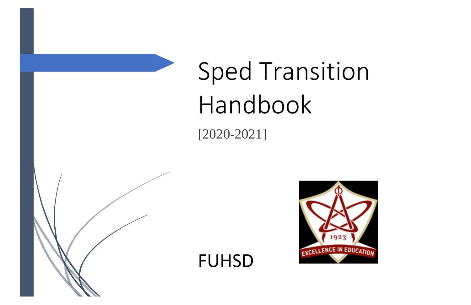# Sped Transition Handbook [2020-2021]

FUHSD



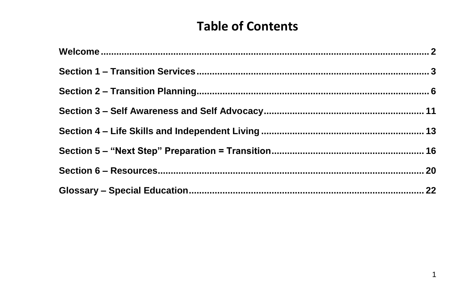# **Table of Contents**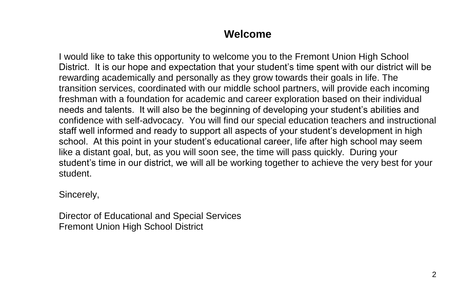# **Welcome**

I would like to take this opportunity to welcome you to the Fremont Union High School District. It is our hope and expectation that your student's time spent with our district will be rewarding academically and personally as they grow towards their goals in life. The transition services, coordinated with our middle school partners, will provide each incoming freshman with a foundation for academic and career exploration based on their individual needs and talents. It will also be the beginning of developing your student's abilities and confidence with self-advocacy. You will find our special education teachers and instructional staff well informed and ready to support all aspects of your student's development in high school. At this point in your student's educational career, life after high school may seem like a distant goal, but, as you will soon see, the time will pass quickly. During your student's time in our district, we will all be working together to achieve the very best for your student.

Sincerely,

Director of Educational and Special Services Fremont Union High School District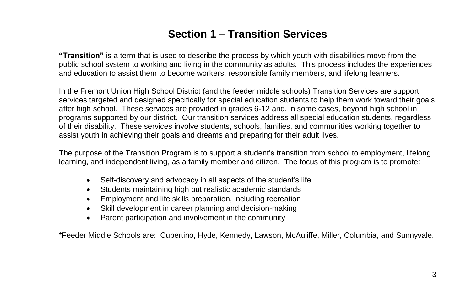# **Section 1 – Transition Services**

**"Transition"** is a term that is used to describe the process by which youth with disabilities move from the public school system to working and living in the community as adults. This process includes the experiences and education to assist them to become workers, responsible family members, and lifelong learners.

In the Fremont Union High School District (and the feeder middle schools) Transition Services are support services targeted and designed specifically for special education students to help them work toward their goals after high school. These services are provided in grades 6-12 and, in some cases, beyond high school in programs supported by our district. Our transition services address all special education students, regardless of their disability. These services involve students, schools, families, and communities working together to assist youth in achieving their goals and dreams and preparing for their adult lives.

The purpose of the Transition Program is to support a student's transition from school to employment, lifelong learning, and independent living, as a family member and citizen. The focus of this program is to promote:

- Self-discovery and advocacy in all aspects of the student's life
- Students maintaining high but realistic academic standards
- Employment and life skills preparation, including recreation
- Skill development in career planning and decision-making
- Parent participation and involvement in the community

\*Feeder Middle Schools are: Cupertino, Hyde, Kennedy, Lawson, McAuliffe, Miller, Columbia, and Sunnyvale.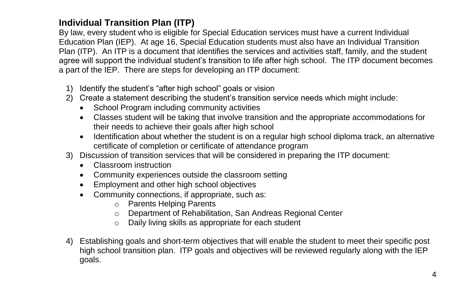### **Individual Transition Plan (ITP)**

By law, every student who is eligible for Special Education services must have a current Individual Education Plan (IEP). At age 16, Special Education students must also have an Individual Transition Plan (ITP). An ITP is a document that identifies the services and activities staff, family, and the student agree will support the individual student's transition to life after high school. The ITP document becomes a part of the IEP. There are steps for developing an ITP document:

- 1) Identify the student's "after high school" goals or vision
- 2) Create a statement describing the student's transition service needs which might include:
	- School Program including community activities
	- Classes student will be taking that involve transition and the appropriate accommodations for their needs to achieve their goals after high school
	- Identification about whether the student is on a regular high school diploma track, an alternative certificate of completion or certificate of attendance program
- 3) Discussion of transition services that will be considered in preparing the ITP document:
	- Classroom instruction
	- Community experiences outside the classroom setting
	- Employment and other high school objectives
	- Community connections, if appropriate, such as:
		- o Parents Helping Parents
		- o Department of Rehabilitation, San Andreas Regional Center
		- o Daily living skills as appropriate for each student
- 4) Establishing goals and short-term objectives that will enable the student to meet their specific post high school transition plan. ITP goals and objectives will be reviewed regularly along with the IEP goals.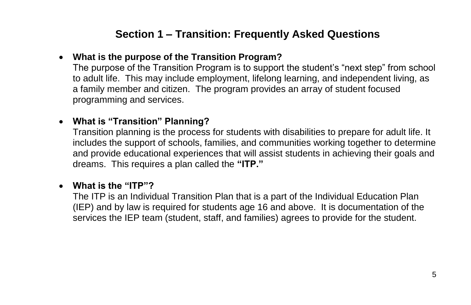# **Section 1 – Transition: Frequently Asked Questions**

### • **What is the purpose of the Transition Program?**

The purpose of the Transition Program is to support the student's "next step" from school to adult life. This may include employment, lifelong learning, and independent living, as a family member and citizen. The program provides an array of student focused programming and services.

### • **What is "Transition" Planning?**

Transition planning is the process for students with disabilities to prepare for adult life. It includes the support of schools, families, and communities working together to determine and provide educational experiences that will assist students in achieving their goals and dreams. This requires a plan called the **"ITP."**

### • **What is the "ITP"?**

The ITP is an Individual Transition Plan that is a part of the Individual Education Plan (IEP) and by law is required for students age 16 and above. It is documentation of the services the IEP team (student, staff, and families) agrees to provide for the student.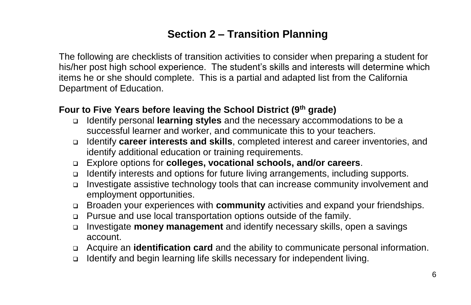# **Section 2 – Transition Planning**

The following are checklists of transition activities to consider when preparing a student for his/her post high school experience. The student's skills and interests will determine which items he or she should complete. This is a partial and adapted list from the California Department of Education.

### **Four to Five Years before leaving the School District (9th grade)**

- ❑ Identify personal **learning styles** and the necessary accommodations to be a successful learner and worker, and communicate this to your teachers.
- ❑ Identify **career interests and skills**, completed interest and career inventories, and identify additional education or training requirements.
- ❑ Explore options for **colleges, vocational schools, and/or careers**.
- ❑ Identify interests and options for future living arrangements, including supports.
- ❑ Investigate assistive technology tools that can increase community involvement and employment opportunities.
- ❑ Broaden your experiences with **community** activities and expand your friendships.
- ❑ Pursue and use local transportation options outside of the family.
- ❑ Investigate **money management** and identify necessary skills, open a savings account.
- ❑ Acquire an **identification card** and the ability to communicate personal information.
- ❑ Identify and begin learning life skills necessary for independent living.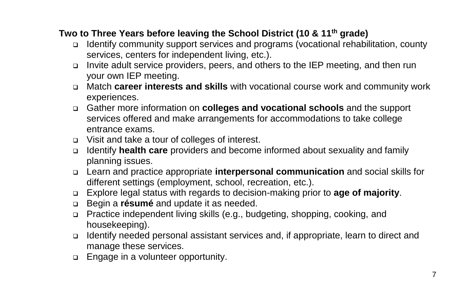### **Two to Three Years before leaving the School District (10 & 11th grade)**

- ❑ Identify community support services and programs (vocational rehabilitation, county services, centers for independent living, etc.).
- ❑ Invite adult service providers, peers, and others to the IEP meeting, and then run your own IEP meeting.
- ❑ Match **career interests and skills** with vocational course work and community work experiences.
- ❑ Gather more information on **colleges and vocational schools** and the support services offered and make arrangements for accommodations to take college entrance exams.
- ❑ Visit and take a tour of colleges of interest.
- ❑ Identify **health care** providers and become informed about sexuality and family planning issues.
- ❑ Learn and practice appropriate **interpersonal communication** and social skills for different settings (employment, school, recreation, etc.).
- ❑ Explore legal status with regards to decision-making prior to **age of majority**.
- ❑ Begin a **résumé** and update it as needed.
- ❑ Practice independent living skills (e.g., budgeting, shopping, cooking, and housekeeping).
- ❑ Identify needed personal assistant services and, if appropriate, learn to direct and manage these services.
- ❑ Engage in a volunteer opportunity.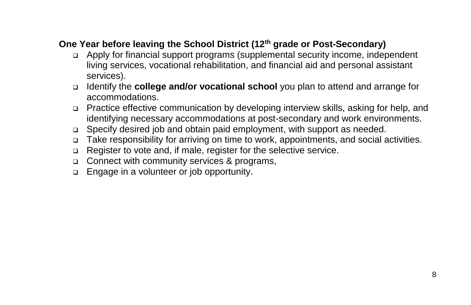# **One Year before leaving the School District (12th grade or Post-Secondary)**

- ❑ Apply for financial support programs (supplemental security income, independent living services, vocational rehabilitation, and financial aid and personal assistant services).
- ❑ Identify the **college and/or vocational school** you plan to attend and arrange for accommodations.
- ❑ Practice effective communication by developing interview skills, asking for help, and identifying necessary accommodations at post-secondary and work environments.
- ❑ Specify desired job and obtain paid employment, with support as needed.
- ❑ Take responsibility for arriving on time to work, appointments, and social activities.
- ❑ Register to vote and, if male, register for the selective service.
- ❑ Connect with community services & programs,
- ❑ Engage in a volunteer or job opportunity.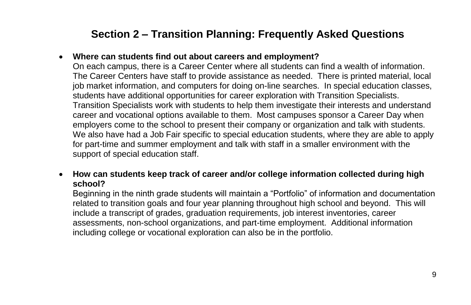# **Section 2 – Transition Planning: Frequently Asked Questions**

#### • **Where can students find out about careers and employment?**

On each campus, there is a Career Center where all students can find a wealth of information. The Career Centers have staff to provide assistance as needed. There is printed material, local job market information, and computers for doing on-line searches. In special education classes, students have additional opportunities for career exploration with Transition Specialists. Transition Specialists work with students to help them investigate their interests and understand career and vocational options available to them. Most campuses sponsor a Career Day when employers come to the school to present their company or organization and talk with students. We also have had a Job Fair specific to special education students, where they are able to apply for part-time and summer employment and talk with staff in a smaller environment with the support of special education staff.

#### • **How can students keep track of career and/or college information collected during high school?**

Beginning in the ninth grade students will maintain a "Portfolio" of information and documentation related to transition goals and four year planning throughout high school and beyond. This will include a transcript of grades, graduation requirements, job interest inventories, career assessments, non-school organizations, and part-time employment. Additional information including college or vocational exploration can also be in the portfolio.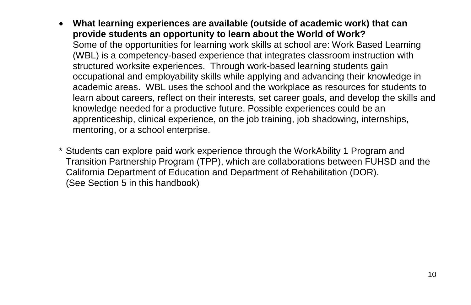- **What learning experiences are available (outside of academic work) that can provide students an opportunity to learn about the World of Work?** Some of the opportunities for learning work skills at school are: Work Based Learning (WBL) is a competency-based experience that integrates classroom instruction with structured worksite experiences. Through work-based learning students gain occupational and employability skills while applying and advancing their knowledge in academic areas. WBL uses the school and the workplace as resources for students to learn about careers, reflect on their interests, set career goals, and develop the skills and knowledge needed for a productive future. Possible experiences could be an apprenticeship, clinical experience, on the job training, job shadowing, internships, mentoring, or a school enterprise.
- \* Students can explore paid work experience through the WorkAbility 1 Program and Transition Partnership Program (TPP), which are collaborations between FUHSD and the California Department of Education and Department of Rehabilitation (DOR). (See Section 5 in this handbook)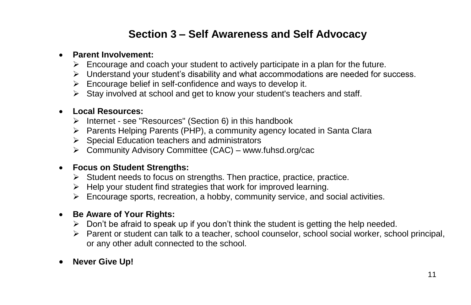# **Section 3 – Self Awareness and Self Advocacy**

#### • **Parent Involvement:**

- $\triangleright$  Encourage and coach your student to actively participate in a plan for the future.
- $\triangleright$  Understand your student's disability and what accommodations are needed for success.
- $\triangleright$  Encourage belief in self-confidence and ways to develop it.
- $\triangleright$  Stay involved at school and get to know your student's teachers and staff.

#### • **Local Resources:**

- ➢ Internet see "Resources" (Section 6) in this handbook
- ➢ Parents Helping Parents (PHP), a community agency located in Santa Clara
- ➢ Special Education teachers and administrators
- ➢ Community Advisory Committee (CAC) www.fuhsd.org/cac

#### • **Focus on Student Strengths:**

- ➢ Student needs to focus on strengths. Then practice, practice, practice.
- $\triangleright$  Help your student find strategies that work for improved learning.
- $\triangleright$  Encourage sports, recreation, a hobby, community service, and social activities.

#### • **Be Aware of Your Rights:**

- $\triangleright$  Don't be afraid to speak up if you don't think the student is getting the help needed.
- ➢ Parent or student can talk to a teacher, school counselor, school social worker, school principal, or any other adult connected to the school.
- **Never Give Up!**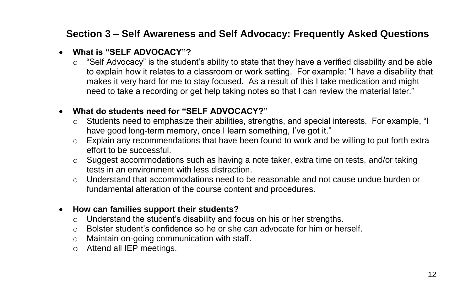# **Section 3 – Self Awareness and Self Advocacy: Frequently Asked Questions**

#### • **What is "SELF ADVOCACY"?**

 $\circ$  "Self Advocacy" is the student's ability to state that they have a verified disability and be able to explain how it relates to a classroom or work setting. For example: "I have a disability that makes it very hard for me to stay focused. As a result of this I take medication and might need to take a recording or get help taking notes so that I can review the material later."

### • **What do students need for "SELF ADVOCACY?"**

- o Students need to emphasize their abilities, strengths, and special interests. For example, "I have good long-term memory, once I learn something, I've got it."
- $\circ$  Explain any recommendations that have been found to work and be willing to put forth extra effort to be successful.
- o Suggest accommodations such as having a note taker, extra time on tests, and/or taking tests in an environment with less distraction.
- $\circ$  Understand that accommodations need to be reasonable and not cause undue burden or fundamental alteration of the course content and procedures.

#### • **How can families support their students?**

- o Understand the student's disability and focus on his or her strengths.
- $\circ$  Bolster student's confidence so he or she can advocate for him or herself.
- o Maintain on-going communication with staff.
- o Attend all IEP meetings.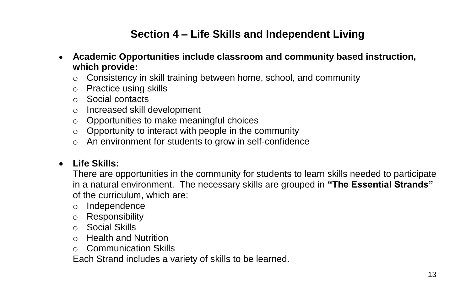# **Section 4 – Life Skills and Independent Living**

- **Academic Opportunities include classroom and community based instruction, which provide:**
	- o Consistency in skill training between home, school, and community
	- o Practice using skills
	- o Social contacts
	- o Increased skill development
	- o Opportunities to make meaningful choices
	- o Opportunity to interact with people in the community
	- o An environment for students to grow in self-confidence

### • **Life Skills:**

There are opportunities in the community for students to learn skills needed to participate in a natural environment. The necessary skills are grouped in **"The Essential Strands"** of the curriculum, which are:

- o Independence
- o Responsibility
- o Social Skills
- o Health and Nutrition
- o Communication Skills

Each Strand includes a variety of skills to be learned.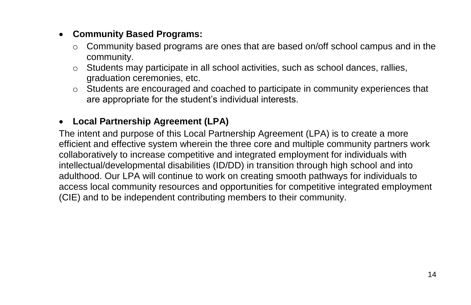### • **Community Based Programs:**

- o Community based programs are ones that are based on/off school campus and in the community.
- o Students may participate in all school activities, such as school dances, rallies, graduation ceremonies, etc.
- o Students are encouraged and coached to participate in community experiences that are appropriate for the student's individual interests.

### • **Local Partnership Agreement (LPA)**

The intent and purpose of this Local Partnership Agreement (LPA) is to create a more efficient and effective system wherein the three core and multiple community partners work collaboratively to increase competitive and integrated employment for individuals with intellectual/developmental disabilities (ID/DD) in transition through high school and into adulthood. Our LPA will continue to work on creating smooth pathways for individuals to access local community resources and opportunities for competitive integrated employment (CIE) and to be independent contributing members to their community.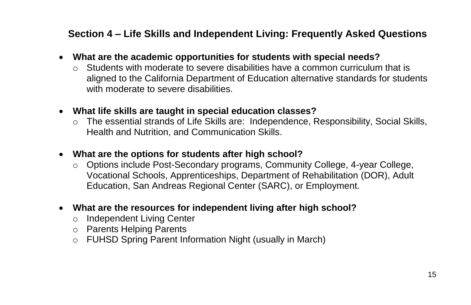# **Section 4 – Life Skills and Independent Living: Frequently Asked Questions**

- **What are the academic opportunities for students with special needs?**
	- $\circ$  Students with moderate to severe disabilities have a common curriculum that is aligned to the California Department of Education alternative standards for students with moderate to severe disabilities.
- **What life skills are taught in special education classes?**
	- $\circ$  The essential strands of Life Skills are: Independence, Responsibility, Social Skills, Health and Nutrition, and Communication Skills.
- **What are the options for students after high school?**
	- o Options include Post-Secondary programs, Community College, 4-year College, Vocational Schools, Apprenticeships, Department of Rehabilitation (DOR), Adult Education, San Andreas Regional Center (SARC), or Employment.
- **What are the resources for independent living after high school?**
	- o Independent Living Center
	- o Parents Helping Parents
	- o FUHSD Spring Parent Information Night (usually in March)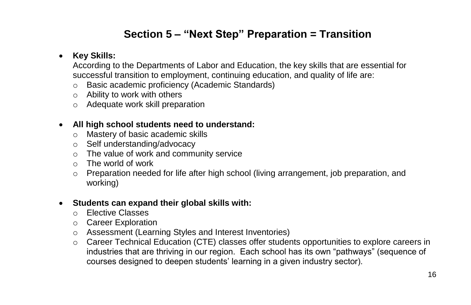# **Section 5 – "Next Step" Preparation = Transition**

### • **Key Skills:**

According to the Departments of Labor and Education, the key skills that are essential for successful transition to employment, continuing education, and quality of life are:

- o Basic academic proficiency (Academic Standards)
- o Ability to work with others
- o Adequate work skill preparation

#### • **All high school students need to understand:**

- o Mastery of basic academic skills
- o Self understanding/advocacy
- o The value of work and community service
- $\circ$  The world of work
- $\circ$  Preparation needed for life after high school (living arrangement, job preparation, and working)

#### • **Students can expand their global skills with:**

- o Elective Classes
- o Career Exploration
- o Assessment (Learning Styles and Interest Inventories)
- $\circ$  Career Technical Education (CTE) classes offer students opportunities to explore careers in industries that are thriving in our region. Each school has its own "pathways" (sequence of courses designed to deepen students' learning in a given industry sector).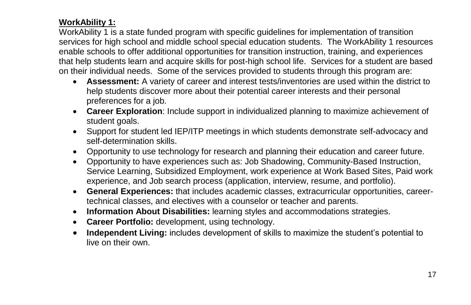### **WorkAbility 1:**

WorkAbility 1 is a state funded program with specific guidelines for implementation of transition services for high school and middle school special education students. The WorkAbility 1 resources enable schools to offer additional opportunities for transition instruction, training, and experiences that help students learn and acquire skills for post-high school life. Services for a student are based on their individual needs. Some of the services provided to students through this program are:

- **Assessment:** A variety of career and interest tests/inventories are used within the district to help students discover more about their potential career interests and their personal preferences for a job.
- **Career Exploration**: Include support in individualized planning to maximize achievement of student goals.
- Support for student led IEP/ITP meetings in which students demonstrate self-advocacy and self-determination skills.
- Opportunity to use technology for research and planning their education and career future.
- Opportunity to have experiences such as: Job Shadowing, Community-Based Instruction, Service Learning, Subsidized Employment, work experience at Work Based Sites, Paid work experience, and Job search process (application, interview, resume, and portfolio).
- **General Experiences:** that includes academic classes, extracurricular opportunities, careertechnical classes, and electives with a counselor or teacher and parents.
- **Information About Disabilities:** learning styles and accommodations strategies.
- **Career Portfolio:** development, using technology.
- **Independent Living:** includes development of skills to maximize the student's potential to live on their own.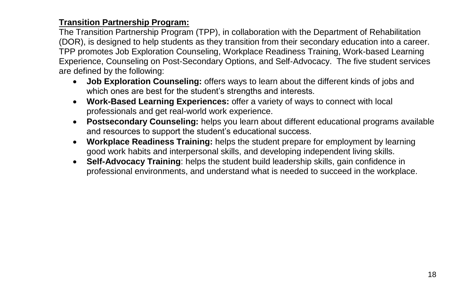### **Transition Partnership Program:**

The Transition Partnership Program (TPP), in collaboration with the Department of Rehabilitation (DOR), is designed to help students as they transition from their secondary education into a career. TPP promotes Job Exploration Counseling, Workplace Readiness Training, Work-based Learning Experience, Counseling on Post-Secondary Options, and Self-Advocacy. The five student services are defined by the following:

- **Job Exploration Counseling:** offers ways to learn about the different kinds of jobs and which ones are best for the student's strengths and interests.
- **Work-Based Learning Experiences:** offer a variety of ways to connect with local professionals and get real-world work experience.
- **Postsecondary Counseling:** helps you learn about different educational programs available and resources to support the student's educational success.
- **Workplace Readiness Training:** helps the student prepare for employment by learning good work habits and interpersonal skills, and developing independent living skills.
- **Self-Advocacy Training**: helps the student build leadership skills, gain confidence in professional environments, and understand what is needed to succeed in the workplace.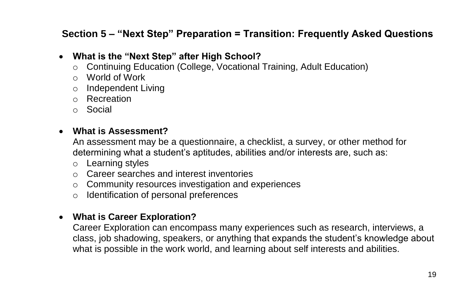# **Section 5 – "Next Step" Preparation = Transition: Frequently Asked Questions**

### • **What is the "Next Step" after High School?**

- $\circ$  Continuing Education (College, Vocational Training, Adult Education)
- o World of Work
- o Independent Living
- o Recreation
- o Social

### • **What is Assessment?**

An assessment may be a questionnaire, a checklist, a survey, or other method for determining what a student's aptitudes, abilities and/or interests are, such as:

- o Learning styles
- o Career searches and interest inventories
- o Community resources investigation and experiences
- o Identification of personal preferences

### • **What is Career Exploration?**

Career Exploration can encompass many experiences such as research, interviews, a class, job shadowing, speakers, or anything that expands the student's knowledge about what is possible in the work world, and learning about self interests and abilities.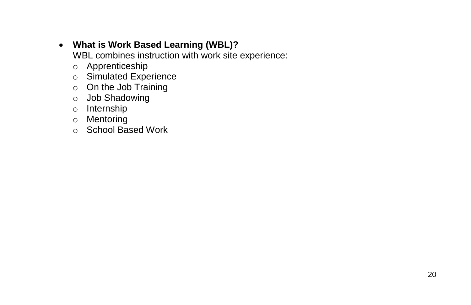# • **What is Work Based Learning (WBL)?**

WBL combines instruction with work site experience:

- o Apprenticeship
- o Simulated Experience
- o On the Job Training
- o Job Shadowing
- o Internship
- o Mentoring
- o School Based Work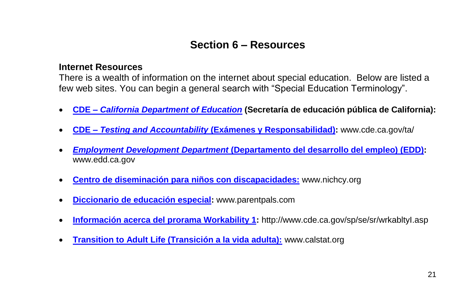# **Section 6 – Resources**

#### **Internet Resources**

There is a wealth of information on the internet about special education. Below are listed a few web sites. You can begin a general search with "Special Education Terminology".

- **CDE –** *[California Department of Education](http://www.cde.ca.gov/)* **(Secretaría de educación pública de California):**
- **CDE** *– Testing and Accountability* **[\(Exámenes y Responsabilidad\):](https://www.cde.ca.gov/ta/)** [www.cde.ca.gov/](http://www.cde.ca.gov/)ta/
- *Employment Development Department* **[\(Departamento del desarrollo del empleo\)](https://www.edd.ca.gov/) (EDD):**  [www.edd.ca.gov](http://www.edd.ca.gov/)
- **[Centro de diseminación para niños con discapacidades:](https://www.parentcenterhub.org/nichcy-gone/)** [www.nichcy.org](http://www.nichcy.org/)
- **[Diccionario de educación especial:](http://parentpals.com/gossamer/pages/)** www.parentpals.com
- **[Información acerca del prorama Workability 1:](https://www.cde.ca.gov/sp/se/sr/wrkabltyi.asp)** <http://www.cde.ca.gov/sp/se/sr/wrkabltyI.asp>
- **[Transition to Adult Life \(Transición a la vida adulta\):](https://cainclusion.org/camap/calstat/)** [www.calstat.org](http://www.calstat.org/)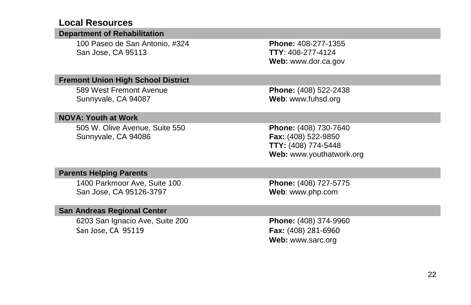### **Local Resources**

| <b>Department of Rehabilitation</b>                     |                                                                                                 |
|---------------------------------------------------------|-------------------------------------------------------------------------------------------------|
| 100 Paseo de San Antonio, #324<br>San Jose, CA 95113    | <b>Phone: 408-277-1355</b><br>$TTY: 408-277-4124$<br>Web: www.dor.ca.gov                        |
| <b>Fremont Union High School District</b>               |                                                                                                 |
| 589 West Fremont Avenue<br>Sunnyvale, CA 94087          | Phone: (408) 522-2438<br>Web: www.fuhsd.org                                                     |
| <b>NOVA: Youth at Work</b>                              |                                                                                                 |
| 505 W. Olive Avenue, Suite 550<br>Sunnyvale, CA 94086   | Phone: (408) 730-7640<br>Fax: (408) 522-9850<br>TTY: (408) 774-5448<br>Web: www.youthatwork.org |
| <b>Parents Helping Parents</b>                          |                                                                                                 |
| 1400 Parkmoor Ave, Suite 100<br>San Jose, CA 95126-3797 | Phone: (408) 727-5775<br>Web: www.php.com                                                       |
| <b>San Andreas Regional Center</b>                      |                                                                                                 |
| 6203 San Ignacio Ave, Suite 200<br>San Jose, CA 95119   | <b>Phone:</b> (408) 374-9960<br>Fax: (408) 281-6960<br>Web: www.sarc.org                        |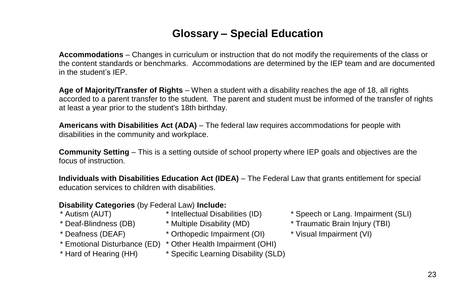# **Glossary – Special Education**

**Accommodations** – Changes in curriculum or instruction that do not modify the requirements of the class or the content standards or benchmarks. Accommodations are determined by the IEP team and are documented in the student's IEP.

**Age of Majority/Transfer of Rights** – When a student with a disability reaches the age of 18, all rights accorded to a parent transfer to the student. The parent and student must be informed of the transfer of rights at least a year prior to the student's 18th birthday.

**Americans with Disabilities Act (ADA)** – The federal law requires accommodations for people with disabilities in the community and workplace.

**Community Setting** – This is a setting outside of school property where IEP goals and objectives are the focus of instruction.

**Individuals with Disabilities Education Act (IDEA)** – The Federal Law that grants entitlement for special education services to children with disabilities.

- **Disability Categories** (by Federal Law) **Include:**
- 
- 
- 
- 
- 
- 
- 
- \* Deafness (DEAF) \* Orthopedic Impairment (OI) \* Visual Impairment (VI)
- \* Emotional Disturbance (ED) \* Other Health Impairment (OHI)
- \* Hard of Hearing (HH) \* Specific Learning Disability (SLD)
- \* Autism (AUT) \* Intellectual Disabilities (ID) \* Speech or Lang. Impairment (SLI)
- \* Deaf-Blindness (DB) \* Multiple Disability (MD) \* Traumatic Brain Injury (TBI)
	-